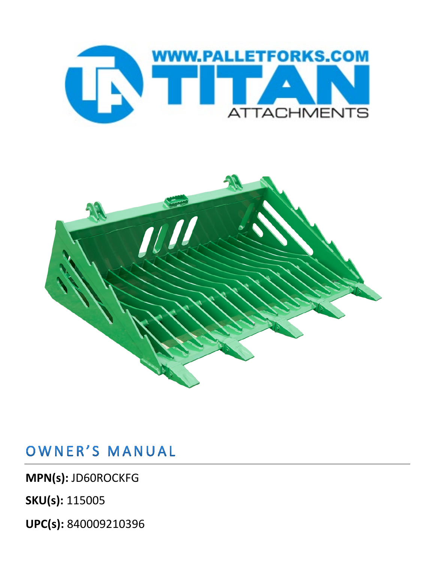



## OWNER'S MANUAL

**MPN(s):** JD60ROCKFG

**SKU(s):** 115005

**UPC(s):** 840009210396